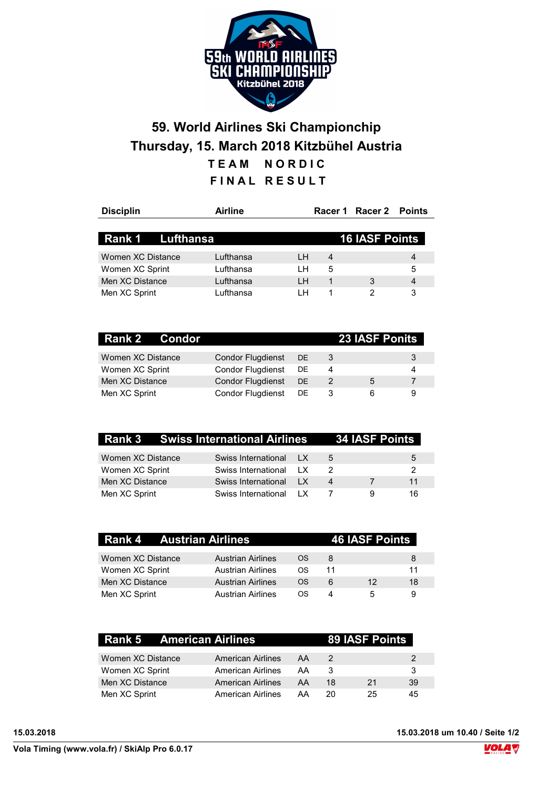

## 59. World Airlines Ski Championchip Thursday, 15. March 2018 Kitzbühel Austria TEAM NORDIC FINAL RESULT

| <b>Disciplin</b>  | Airline   |    |   | Racer 1 Racer 2 Points |                |
|-------------------|-----------|----|---|------------------------|----------------|
|                   |           |    |   |                        |                |
| Rank 1 Lufthansa  |           |    |   | <b>16 IASF Points</b>  |                |
| Women XC Distance | Lufthansa | LН | 4 |                        | $\overline{4}$ |
| Women XC Sprint   | Lufthansa | LH | 5 |                        | 5              |
| Men XC Distance   | Lufthansa | IН | 1 | 3                      | 4              |
| Men XC Sprint     | Lufthansa | ıн |   | っ                      | 3              |

| <b>Rank 2 Condor</b> |                          |           |   | <b>23 IASF Ponits</b> |   |
|----------------------|--------------------------|-----------|---|-----------------------|---|
| Women XC Distance    | Condor Flugdienst        | <b>DE</b> | 3 |                       | 3 |
| Women XC Sprint      | <b>Condor Flugdienst</b> | DE        | 4 |                       | 4 |
| Men XC Distance      | <b>Condor Flugdienst</b> | <b>DE</b> | 2 | 5                     |   |
| Men XC Sprint        | <b>Condor Flugdienst</b> | DE.       | 3 | 6                     | 9 |

| Rank 3 Swiss International Airlines 34 IASF Points |                        |                     |                  |   |    |
|----------------------------------------------------|------------------------|---------------------|------------------|---|----|
| Women XC Distance                                  | Swiss International LX |                     | 5                |   | 5  |
| Women XC Sprint                                    | Swiss International    | $\overline{1}$      |                  |   | 2  |
| Men XC Distance                                    | Swiss International    | $\mathbf{I} \times$ | $\boldsymbol{A}$ |   | 11 |
| Men XC Sprint                                      | Swiss International    | $\overline{1}$      |                  | a | 16 |

| Rank 4 Austrian Airlines |                          |     | <b>46 IASF Points</b> |    |    |  |  |
|--------------------------|--------------------------|-----|-----------------------|----|----|--|--|
| Women XC Distance        | <b>Austrian Airlines</b> | OS. | 8                     |    | 8  |  |  |
| Women XC Sprint          | <b>Austrian Airlines</b> | OS. | 11                    |    | 11 |  |  |
| Men XC Distance          | <b>Austrian Airlines</b> | OS. | 6                     | 12 | 18 |  |  |
| Men XC Sprint            | <b>Austrian Airlines</b> | OS. | Δ                     | 5  | 9  |  |  |

| <b>Rank 5 American Airlines</b> |                   |    |    | 89 IASF Points |    |
|---------------------------------|-------------------|----|----|----------------|----|
| Women XC Distance               | American Airlines | AA | 2  |                | 2  |
| Women XC Sprint                 | American Airlines | AA | 3  |                | -3 |
| Men XC Distance                 | American Airlines | AA | 18 | 21             | 39 |
| Men XC Sprint                   | American Airlines | AA | 20 | 25             | 45 |

15.03.2018 15.03.2018 um 10.40 / Seite 1/2